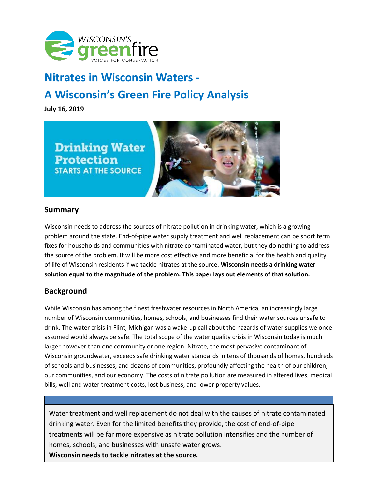

# **Nitrates in Wisconsin Waters - A Wisconsin's Green Fire Policy Analysis**

**July 16, 2019** 

**Drinking Water Protection STARTS AT THE SOURCE** 



#### **Summary**

Wisconsin needs to address the sources of nitrate pollution in drinking water, which is a growing problem around the state. End-of-pipe water supply treatment and well replacement can be short term fixes for households and communities with nitrate contaminated water, but they do nothing to address the source of the problem. It will be more cost effective and more beneficial for the health and quality of life of Wisconsin residents if we tackle nitrates at the source. **Wisconsin needs a drinking water solution equal to the magnitude of the problem. This paper lays out elements of that solution.**

# **Background**

While Wisconsin has among the finest freshwater resources in North America, an increasingly large number of Wisconsin communities, homes, schools, and businesses find their water sources unsafe to drink. The water crisis in Flint, Michigan was a wake-up call about the hazards of water supplies we once assumed would always be safe. The total scope of the water quality crisis in Wisconsin today is much larger however than one community or one region. Nitrate, the most pervasive contaminant of Wisconsin groundwater, exceeds safe drinking water standards in tens of thousands of homes, hundreds of schools and businesses, and dozens of communities, profoundly affecting the health of our children, our communities, and our economy. The costs of nitrate pollution are measured in altered lives, medical bills, well and water treatment costs, lost business, and lower property values.

Water treatment and well replacement do not deal with the causes of nitrate contaminated drinking water. Even for the limited benefits they provide, the cost of end-of-pipe treatments will be far more expensive as nitrate pollution intensifies and the number of homes, schools, and businesses with unsafe water grows. **Wisconsin needs to tackle nitrates at the source.**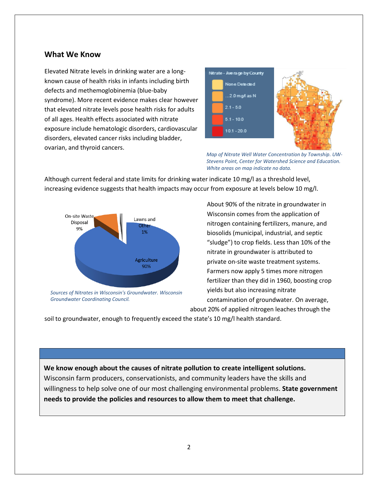#### **What We Know**

Elevated Nitrate levels in drinking water are a longknown cause of health risks in infants including birth defects and methemoglobinemia (blue-baby syndrome). More recent evidence makes clear however that elevated nitrate levels pose health risks for adults of all ages. Health effects associated with nitrate exposure include hematologic disorders, cardiovascular disorders, elevated cancer risks including bladder, ovarian, and thyroid cancers.



*Map of Nitrate Well Water Concentration by Township. UW-Stevens Point, Center for Watershed Science and Education. White areas on map indicate no data.*

Although current federal and state limits for drinking water indicate 10 mg/l as a threshold level, increasing evidence suggests that health impacts may occur from exposure at levels below 10 mg/l.



*Groundwater Coordinating Council.* 

About 90% of the nitrate in groundwater in Wisconsin comes from the application of nitrogen containing fertilizers, manure, and biosolids (municipal, industrial, and septic "sludge") to crop fields. Less than 10% of the nitrate in groundwater is attributed to private on-site waste treatment systems. Farmers now apply 5 times more nitrogen fertilizer than they did in 1960, boosting crop yields but also increasing nitrate contamination of groundwater. On average,

about 20% of applied nitrogen leaches through the

soil to groundwater, enough to frequently exceed the state's 10 mg/l health standard.

### **We know enough about the causes of nitrate pollution to create intelligent solutions.** Wisconsin farm producers, conservationists, and community leaders have the skills and willingness to help solve one of our most challenging environmental problems. **State government needs to provide the policies and resources to allow them to meet that challenge.**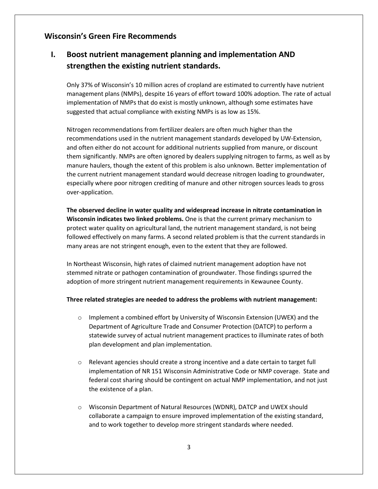#### **Wisconsin's Green Fire Recommends**

### **I. Boost nutrient management planning and implementation AND strengthen the existing nutrient standards.**

Only 37% of Wisconsin's 10 million acres of cropland are estimated to currently have nutrient management plans (NMPs), despite 16 years of effort toward 100% adoption. The rate of actual implementation of NMPs that do exist is mostly unknown, although some estimates have suggested that actual compliance with existing NMPs is as low as 15%.

Nitrogen recommendations from fertilizer dealers are often much higher than the recommendations used in the nutrient management standards developed by UW-Extension, and often either do not account for additional nutrients supplied from manure, or discount them significantly. NMPs are often ignored by dealers supplying nitrogen to farms, as well as by manure haulers, though the extent of this problem is also unknown. Better implementation of the current nutrient management standard would decrease nitrogen loading to groundwater, especially where poor nitrogen crediting of manure and other nitrogen sources leads to gross over-application.

**The observed decline in water quality and widespread increase in nitrate contamination in Wisconsin indicates two linked problems.** One is that the current primary mechanism to protect water quality on agricultural land, the nutrient management standard, is not being followed effectively on many farms. A second related problem is that the current standards in many areas are not stringent enough, even to the extent that they are followed.

In Northeast Wisconsin, high rates of claimed nutrient management adoption have not stemmed nitrate or pathogen contamination of groundwater. Those findings spurred the adoption of more stringent nutrient management requirements in Kewaunee County.

#### **Three related strategies are needed to address the problems with nutrient management:**

- $\circ$  Implement a combined effort by University of Wisconsin Extension (UWEX) and the Department of Agriculture Trade and Consumer Protection (DATCP) to perform a statewide survey of actual nutrient management practices to illuminate rates of both plan development and plan implementation*.*
- $\circ$  Relevant agencies should create a strong incentive and a date certain to target full implementation of NR 151 Wisconsin Administrative Code or NMP coverage. State and federal cost sharing should be contingent on actual NMP implementation, and not just the existence of a plan.
- o Wisconsin Department of Natural Resources (WDNR), DATCP and UWEX should collaborate a campaign to ensure improved implementation of the existing standard, and to work together to develop more stringent standards where needed.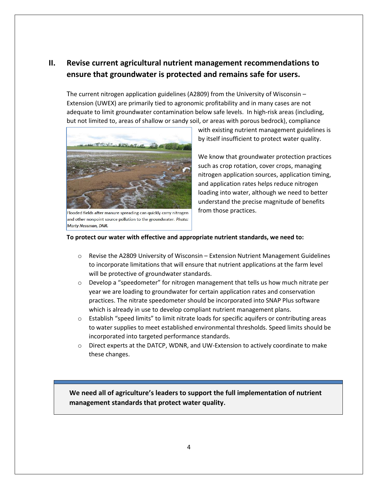# **II. Revise current agricultural nutrient management recommendations to ensure that groundwater is protected and remains safe for users.**

The current nitrogen application guidelines (A2809) from the University of Wisconsin – Extension (UWEX) are primarily tied to agronomic profitability and in many cases are not adequate to limit groundwater contamination below safe levels. In high-risk areas (including, but not limited to, areas of shallow or sandy soil, or areas with porous bedrock), compliance



Flooded fields after manure spreading can quickly carry nitrogen and other nonpoint source pollution to the groundwater. Photo: **Marty Nessman, DNR.** 

with existing nutrient management guidelines is by itself insufficient to protect water quality.

We know that groundwater protection practices such as crop rotation, cover crops, managing nitrogen application sources, application timing, and application rates helps reduce nitrogen loading into water, although we need to better understand the precise magnitude of benefits from those practices.

#### **To protect our water with effective and appropriate nutrient standards, we need to:**

- $\circ$  Revise the A2809 University of Wisconsin Extension Nutrient Management Guidelines to incorporate limitations that will ensure that nutrient applications at the farm level will be protective of groundwater standards.
- $\circ$  Develop a "speedometer" for nitrogen management that tells us how much nitrate per year we are loading to groundwater for certain application rates and conservation practices. The nitrate speedometer should be incorporated into SNAP Plus software which is already in use to develop compliant nutrient management plans.
- o Establish "speed limits" to limit nitrate loads for specific aquifers or contributing areas to water supplies to meet established environmental thresholds. Speed limits should be incorporated into targeted performance standards.
- $\circ$  Direct experts at the DATCP, WDNR, and UW-Extension to actively coordinate to make these changes.

**We need all of agriculture's leaders to support the full implementation of nutrient management standards that protect water quality.**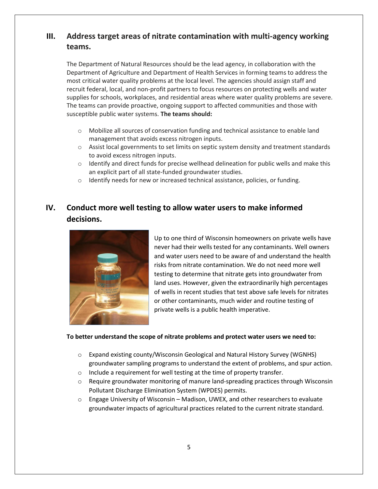### **III. Address target areas of nitrate contamination with multi-agency working teams.**

The Department of Natural Resources should be the lead agency, in collaboration with the Department of Agriculture and Department of Health Services in forming teams to address the most critical water quality problems at the local level. The agencies should assign staff and recruit federal, local, and non-profit partners to focus resources on protecting wells and water supplies for schools, workplaces, and residential areas where water quality problems are severe. The teams can provide proactive, ongoing support to affected communities and those with susceptible public water systems. **The teams should:**

- o Mobilize all sources of conservation funding and technical assistance to enable land management that avoids excess nitrogen inputs.
- o Assist local governments to set limits on septic system density and treatment standards to avoid excess nitrogen inputs.
- $\circ$  Identify and direct funds for precise wellhead delineation for public wells and make this an explicit part of all state-funded groundwater studies.
- o Identify needs for new or increased technical assistance, policies, or funding.

### **IV. Conduct more well testing to allow water users to make informed decisions.**



Up to one third of Wisconsin homeowners on private wells have never had their wells tested for any contaminants. Well owners and water users need to be aware of and understand the health risks from nitrate contamination. We do not need more well testing to determine that nitrate gets into groundwater from land uses. However, given the extraordinarily high percentages of wells in recent studies that test above safe levels for nitrates or other contaminants, much wider and routine testing of private wells is a public health imperative.

#### **To better understand the scope of nitrate problems and protect water users we need to:**

- o Expand existing county/Wisconsin Geological and Natural History Survey (WGNHS) groundwater sampling programs to understand the extent of problems, and spur action.
- o Include a requirement for well testing at the time of property transfer.
- $\circ$  Require groundwater monitoring of manure land-spreading practices through Wisconsin Pollutant Discharge Elimination System (WPDES) permits.
- $\circ$  Engage University of Wisconsin Madison, UWEX, and other researchers to evaluate groundwater impacts of agricultural practices related to the current nitrate standard.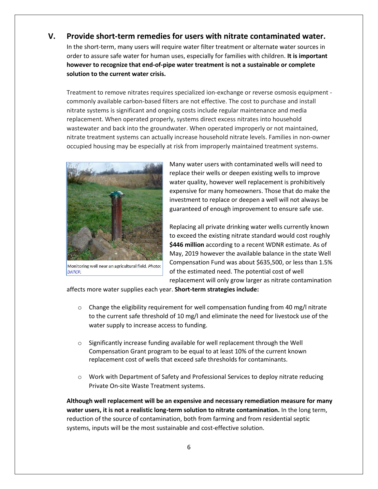#### **V. Provide short-term remedies for users with nitrate contaminated water.**

In the short-term, many users will require water filter treatment or alternate water sources in order to assure safe water for human uses, especially for families with children. **It is important however to recognize that end-of-pipe water treatment is not a sustainable or complete solution to the current water crisis.**

Treatment to remove nitrates requires specialized ion-exchange or reverse osmosis equipment commonly available carbon-based filters are not effective. The cost to purchase and install nitrate systems is significant and ongoing costs include regular maintenance and media replacement. When operated properly, systems direct excess nitrates into household wastewater and back into the groundwater. When operated improperly or not maintained, nitrate treatment systems can actually increase household nitrate levels. Families in non-owner occupied housing may be especially at risk from improperly maintained treatment systems.



Monitoring well near an agricultural field. Photo: DATCP.

Many water users with contaminated wells will need to replace their wells or deepen existing wells to improve water quality, however well replacement is prohibitively expensive for many homeowners. Those that do make the investment to replace or deepen a well will not always be guaranteed of enough improvement to ensure safe use.

Replacing all private drinking water wells currently known to exceed the existing nitrate standard would cost roughly **\$446 million** according to a recent WDNR estimate. As of May, 2019 however the available balance in the state Well Compensation Fund was about \$635,500, or less than 1.5% of the estimated need. The potential cost of well replacement will only grow larger as nitrate contamination

affects more water supplies each year. **Short-term strategies include:**

- $\circ$  Change the eligibility requirement for well compensation funding from 40 mg/l nitrate to the current safe threshold of 10 mg/l and eliminate the need for livestock use of the water supply to increase access to funding.
- o Significantly increase funding available for well replacement through the Well Compensation Grant program to be equal to at least 10% of the current known replacement cost of wells that exceed safe thresholds for contaminants.
- o Work with Department of Safety and Professional Services to deploy nitrate reducing Private On-site Waste Treatment systems.

**Although well replacement will be an expensive and necessary remediation measure for many water users, it is not a realistic long-term solution to nitrate contamination.** In the long term, reduction of the source of contamination, both from farming and from residential septic systems, inputs will be the most sustainable and cost-effective solution.